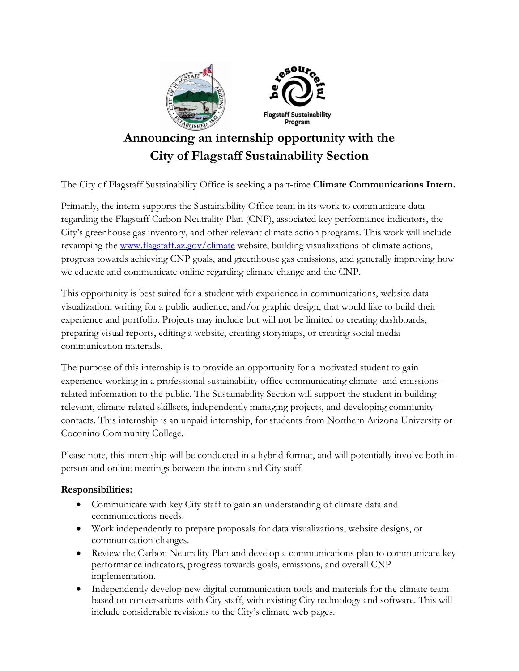

# **Announcing an internship opportunity with the City of Flagstaff Sustainability Section**

The City of Flagstaff Sustainability Office is seeking a part-time **Climate Communications Intern.** 

Primarily, the intern supports the Sustainability Office team in its work to communicate data regarding the Flagstaff Carbon Neutrality Plan (CNP), associated key performance indicators, the City's greenhouse gas inventory, and other relevant climate action programs. This work will include revamping the www.flagstaff.az.gov/climate website, building visualizations of climate actions, progress towards achieving CNP goals, and greenhouse gas emissions, and generally improving how we educate and communicate online regarding climate change and the CNP.

This opportunity is best suited for a student with experience in communications, website data visualization, writing for a public audience, and/or graphic design, that would like to build their experience and portfolio. Projects may include but will not be limited to creating dashboards, preparing visual reports, editing a website, creating storymaps, or creating social media communication materials.

The purpose of this internship is to provide an opportunity for a motivated student to gain experience working in a professional sustainability office communicating climate- and emissionsrelated information to the public. The Sustainability Section will support the student in building relevant, climate-related skillsets, independently managing projects, and developing community contacts. This internship is an unpaid internship, for students from Northern Arizona University or Coconino Community College.

Please note, this internship will be conducted in a hybrid format, and will potentially involve both inperson and online meetings between the intern and City staff.

#### **Responsibilities:**

- Communicate with key City staff to gain an understanding of climate data and communications needs.
- Work independently to prepare proposals for data visualizations, website designs, or communication changes.
- Review the Carbon Neutrality Plan and develop a communications plan to communicate key performance indicators, progress towards goals, emissions, and overall CNP implementation.
- Independently develop new digital communication tools and materials for the climate team based on conversations with City staff, with existing City technology and software. This will include considerable revisions to the City's climate web pages.